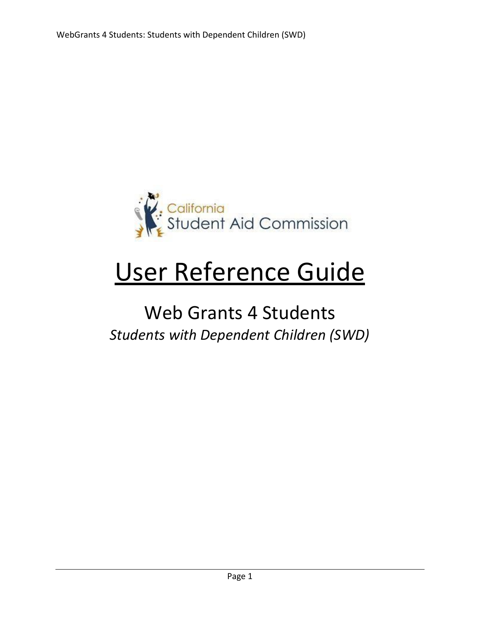

# User Reference Guide

## Web Grants 4 Students *Students with Dependent Children (SWD)*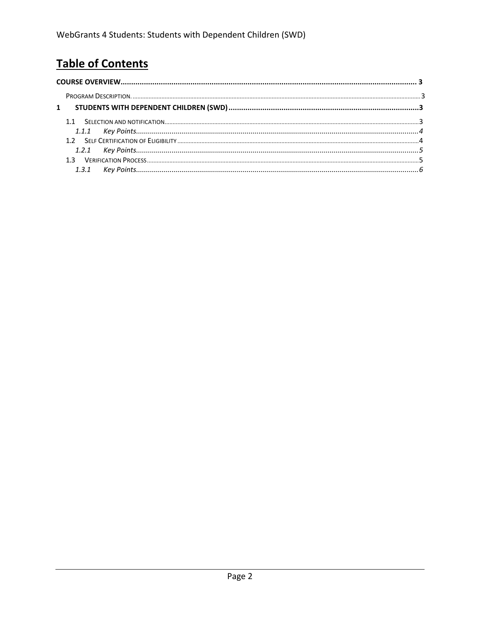### **Table of Contents**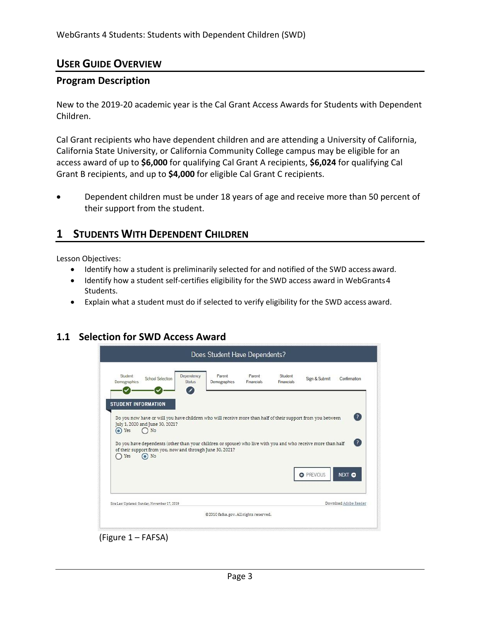#### <span id="page-2-0"></span>**USER GUIDE OVERVIEW**

#### <span id="page-2-1"></span>**Program Description**

New to the 2019-20 academic year is the Cal Grant Access Awards for Students with Dependent Children.

Cal Grant recipients who have dependent children and are attending a University of California, California State University, or California Community College campus may be eligible for an access award of up to **\$6,000** for qualifying Cal Grant A recipients, **\$6,024** for qualifying Cal Grant B recipients, and up to **\$4,000** for eligible Cal Grant C recipients.

• Dependent children must be under 18 years of age and receive more than 50 percent of their support from the student.

#### <span id="page-2-2"></span>**1 STUDENTS WITH DEPENDENT CHILDREN**

Lesson Objectives:

- Identify how a student is preliminarily selected for and notified of the SWD access award.
- Identify how a student self-certifies eligibility for the SWD access award in WebGrants4 Students.
- Explain what a student must do if selected to verify eligibility for the SWD access award.

#### <span id="page-2-3"></span>**1.1 Selection for SWD Access Award**

| Student<br>Demographics | School Selection                                                                                                                                                                                   | Dependency<br>Status | Parent<br>Demographics | Parent<br>Financials | Student.<br>Financials: | Sign & Submit     | Confirmation                |
|-------------------------|----------------------------------------------------------------------------------------------------------------------------------------------------------------------------------------------------|----------------------|------------------------|----------------------|-------------------------|-------------------|-----------------------------|
|                         | <b>STUDENT INFORMATION</b><br>Do you now have or will you have children who will receive more than half of their support from you between<br>July 1, 2020 and June 30, 2021?                       |                      |                        |                      |                         |                   | $\left( 2\right)$           |
| C Yes<br>Yes            | $\n  N$<br>Do you have dependents (other than your children or spouse) who live with you and who receive more than half<br>of their support from you, now and through June 30, 2021?<br>$\odot$ No |                      |                        |                      |                         |                   |                             |
|                         |                                                                                                                                                                                                    |                      |                        |                      |                         | <b>O</b> PREVIOUS | $\left( 2\right)$<br>NEXT O |

(Figure 1 – FAFSA)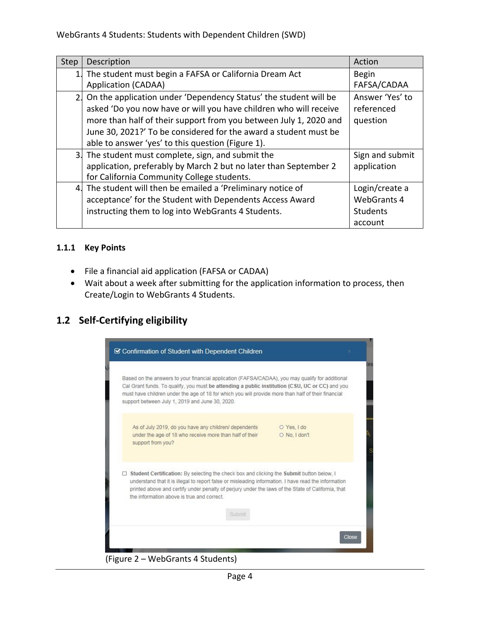| Step | Description                                                         | Action             |
|------|---------------------------------------------------------------------|--------------------|
| 1.   | The student must begin a FAFSA or California Dream Act              | <b>Begin</b>       |
|      | <b>Application (CADAA)</b>                                          | FAFSA/CADAA        |
|      | 2. On the application under 'Dependency Status' the student will be | Answer 'Yes' to    |
|      | asked 'Do you now have or will you have children who will receive   | referenced         |
|      | more than half of their support from you between July 1, 2020 and   | question           |
|      | June 30, 2021?' To be considered for the award a student must be    |                    |
|      | able to answer 'yes' to this question (Figure 1).                   |                    |
|      | 3. The student must complete, sign, and submit the                  | Sign and submit    |
|      | application, preferably by March 2 but no later than September 2    | application        |
|      | for California Community College students.                          |                    |
|      | 4. The student will then be emailed a 'Preliminary notice of        | Login/create a     |
|      | acceptance' for the Student with Dependents Access Award            | <b>WebGrants 4</b> |
|      | instructing them to log into WebGrants 4 Students.                  | <b>Students</b>    |
|      |                                                                     | account            |

#### <span id="page-3-0"></span>**1.1.1 Key Points**

- File a financial aid application (FAFSA or CADAA)
- Wait about a week after submitting for the application information to process, then Create/Login to WebGrants 4 Students.

#### **1.2 Self-Certifying eligibility**



Page 4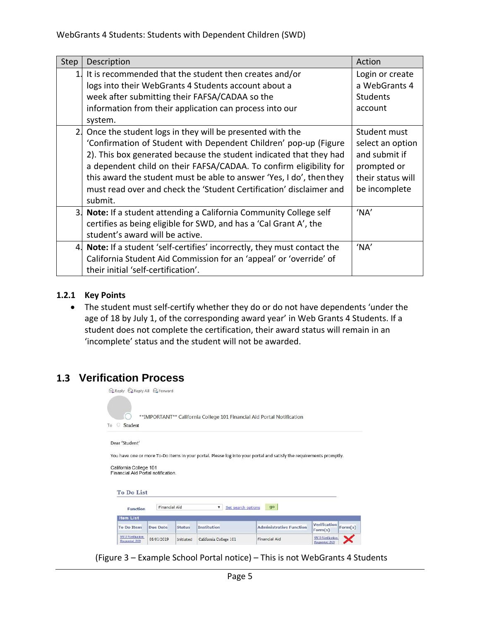| Step           | Description                                                                                                                                                                                                                                                              | Action                                                           |
|----------------|--------------------------------------------------------------------------------------------------------------------------------------------------------------------------------------------------------------------------------------------------------------------------|------------------------------------------------------------------|
| $\mathbf{1}$ . | It is recommended that the student then creates and/or                                                                                                                                                                                                                   | Login or create                                                  |
|                | logs into their WebGrants 4 Students account about a                                                                                                                                                                                                                     | a WebGrants 4                                                    |
|                | week after submitting their FAFSA/CADAA so the                                                                                                                                                                                                                           | <b>Students</b>                                                  |
|                | information from their application can process into our                                                                                                                                                                                                                  | account                                                          |
|                | system.                                                                                                                                                                                                                                                                  |                                                                  |
| 2.             | Once the student logs in they will be presented with the<br>'Confirmation of Student with Dependent Children' pop-up (Figure<br>2). This box generated because the student indicated that they had<br>a dependent child on their FAFSA/CADAA. To confirm eligibility for | Student must<br>select an option<br>and submit if<br>prompted or |
|                | this award the student must be able to answer 'Yes, I do', then they<br>must read over and check the 'Student Certification' disclaimer and<br>submit.                                                                                                                   | their status will<br>be incomplete                               |
|                | 3. Note: If a student attending a California Community College self<br>certifies as being eligible for SWD, and has a 'Cal Grant A', the<br>student's award will be active.                                                                                              | 'NA'                                                             |
|                | 4. Note: If a student 'self-certifies' incorrectly, they must contact the<br>California Student Aid Commission for an 'appeal' or 'override' of<br>their initial 'self-certification'.                                                                                   | 'NA'                                                             |

#### <span id="page-4-0"></span>**1.2.1 Key Points**

• The student must self-certify whether they do or do not have dependents 'under the age of 18 by July 1, of the corresponding award year' in Web Grants 4 Students. If a student does not complete the certification, their award status will remain in an 'incomplete' status and the student will not be awarded.

#### **1.3 Verification Process**



(Figure 3 – Example School Portal notice) – This is not WebGrants 4 Students